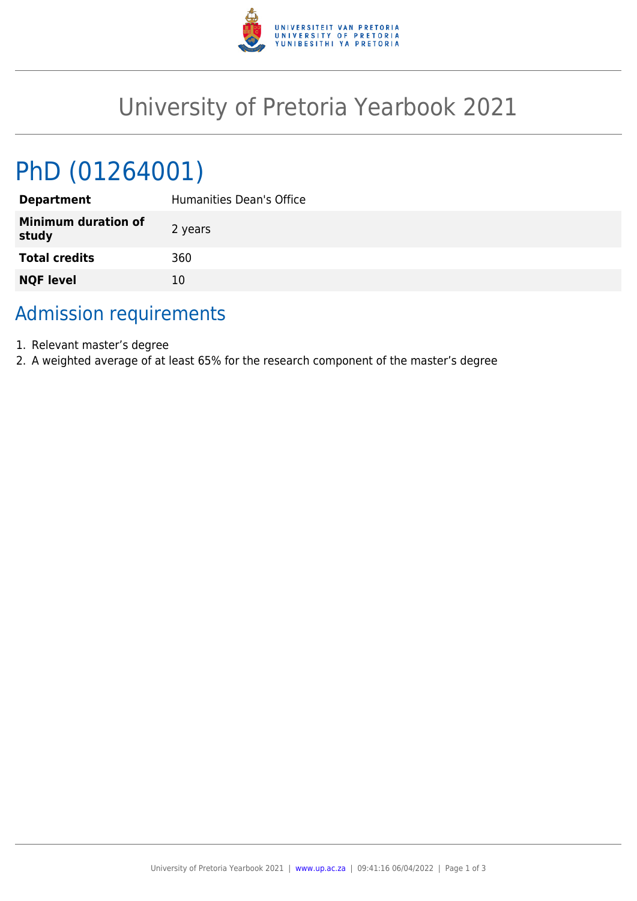

## University of Pretoria Yearbook 2021

# PhD (01264001)

| <b>Department</b>                   | <b>Humanities Dean's Office</b> |
|-------------------------------------|---------------------------------|
| <b>Minimum duration of</b><br>study | 2 years                         |
| <b>Total credits</b>                | 360                             |
| <b>NQF level</b>                    | 10                              |

## Admission requirements

- 1. Relevant master's degree
- 2. A weighted average of at least 65% for the research component of the master's degree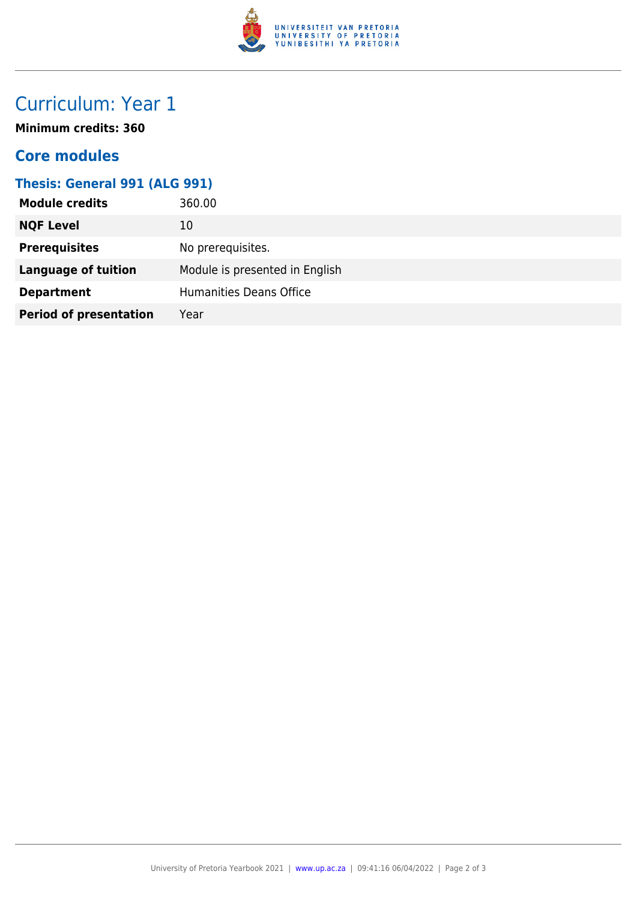

## Curriculum: Year 1

**Minimum credits: 360**

#### **Core modules**

#### **Thesis: General 991 (ALG 991)**

| <b>Module credits</b>         | 360.00                         |
|-------------------------------|--------------------------------|
| <b>NQF Level</b>              | 10                             |
| <b>Prerequisites</b>          | No prerequisites.              |
| <b>Language of tuition</b>    | Module is presented in English |
| <b>Department</b>             | <b>Humanities Deans Office</b> |
| <b>Period of presentation</b> | Year                           |